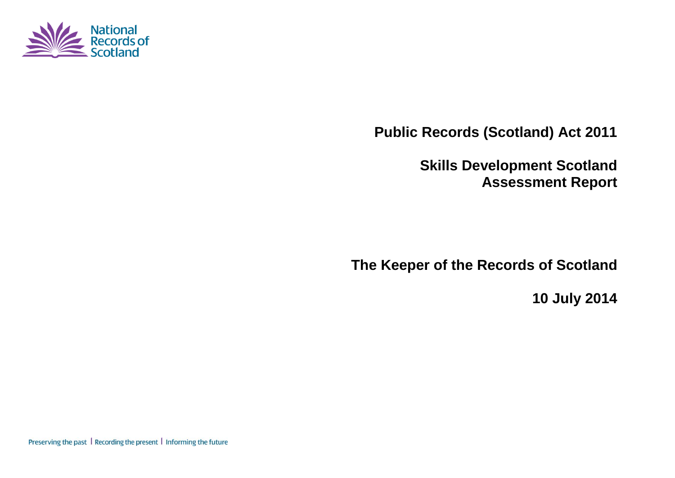

**Public Records (Scotland) Act 2011**

**Skills Development Scotland Assessment Report**

**The Keeper of the Records of Scotland**

**10 July 2014**

Preserving the past | Recording the present | Informing the future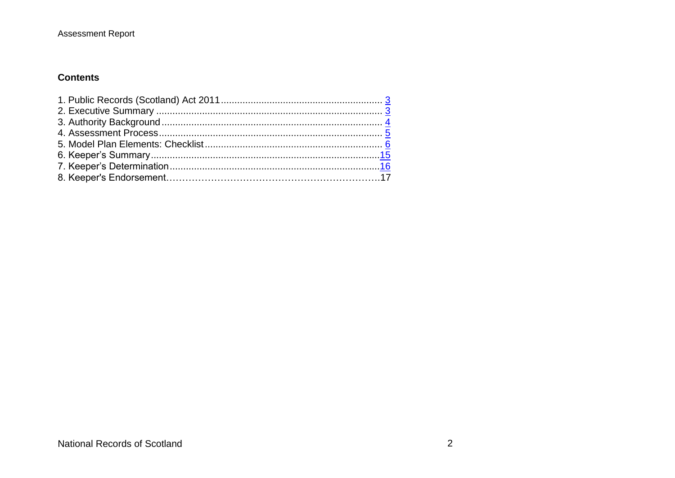### **Contents**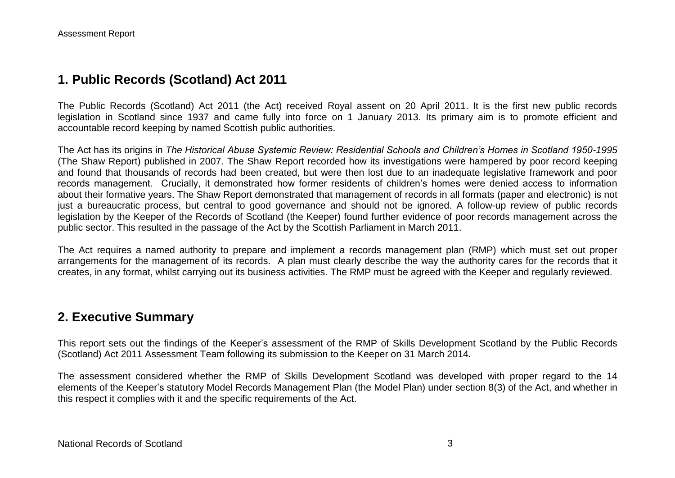## **1. Public Records (Scotland) Act 2011**

The Public Records (Scotland) Act 2011 (the Act) received Royal assent on 20 April 2011. It is the first new public records legislation in Scotland since 1937 and came fully into force on 1 January 2013. Its primary aim is to promote efficient and accountable record keeping by named Scottish public authorities.

The Act has its origins in *The Historical Abuse Systemic Review: Residential Schools and Children's Homes in Scotland 1950-1995* (The Shaw Report) published in 2007. The Shaw Report recorded how its investigations were hampered by poor record keeping and found that thousands of records had been created, but were then lost due to an inadequate legislative framework and poor records management. Crucially, it demonstrated how former residents of children's homes were denied access to information about their formative years. The Shaw Report demonstrated that management of records in all formats (paper and electronic) is not just a bureaucratic process, but central to good governance and should not be ignored. A follow-up review of public records legislation by the Keeper of the Records of Scotland (the Keeper) found further evidence of poor records management across the public sector. This resulted in the passage of the Act by the Scottish Parliament in March 2011.

The Act requires a named authority to prepare and implement a records management plan (RMP) which must set out proper arrangements for the management of its records. A plan must clearly describe the way the authority cares for the records that it creates, in any format, whilst carrying out its business activities. The RMP must be agreed with the Keeper and regularly reviewed.

## **2. Executive Summary**

This report sets out the findings of the Keeper's assessment of the RMP of Skills Development Scotland by the Public Records (Scotland) Act 2011 Assessment Team following its submission to the Keeper on 31 March 2014*.*

The assessment considered whether the RMP of Skills Development Scotland was developed with proper regard to the 14 elements of the Keeper's statutory Model Records Management Plan (the Model Plan) under section 8(3) of the Act, and whether in this respect it complies with it and the specific requirements of the Act.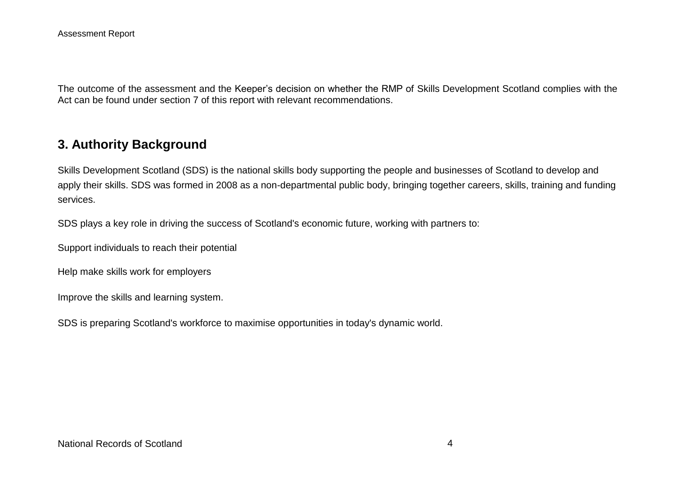The outcome of the assessment and the Keeper's decision on whether the RMP of Skills Development Scotland complies with the Act can be found under section 7 of this report with relevant recommendations.

## **3. Authority Background**

Skills Development Scotland (SDS) is the national skills body supporting the people and businesses of Scotland to develop and apply their skills. SDS was formed in 2008 as a non-departmental public body, bringing together careers, skills, training and funding services.

SDS plays a key role in driving the success of Scotland's economic future, working with partners to:

Support individuals to reach their potential

Help make skills work for employers

Improve the skills and learning system.

SDS is preparing Scotland's workforce to maximise opportunities in today's dynamic world.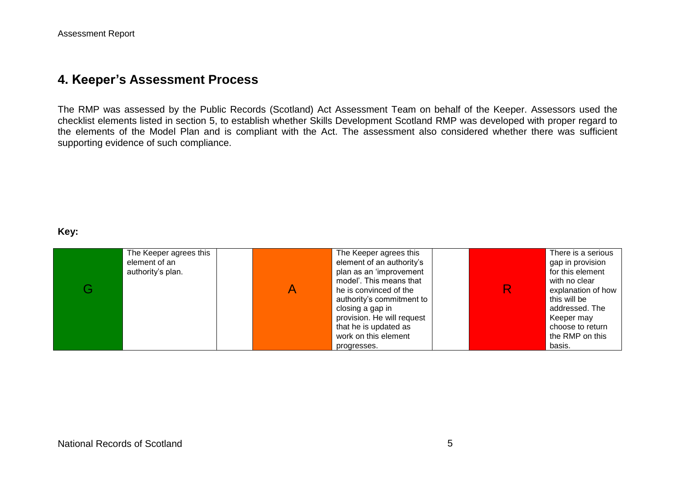## **4. Keeper's Assessment Process**

The RMP was assessed by the Public Records (Scotland) Act Assessment Team on behalf of the Keeper. Assessors used the checklist elements listed in section 5, to establish whether Skills Development Scotland RMP was developed with proper regard to the elements of the Model Plan and is compliant with the Act. The assessment also considered whether there was sufficient supporting evidence of such compliance.

#### **Key:**

| G | The Keeper agrees this<br>element of an<br>authority's plan. | The Keeper agrees this<br>element of an authority's<br>plan as an 'improvement<br>model'. This means that<br>he is convinced of the<br>authority's commitment to<br>closing a gap in<br>provision. He will request<br>that he is updated as |  | There is a serious<br>gap in provision<br>for this element<br>with no clear<br>explanation of how<br>this will be<br>addressed. The<br>Keeper may<br>choose to return |
|---|--------------------------------------------------------------|---------------------------------------------------------------------------------------------------------------------------------------------------------------------------------------------------------------------------------------------|--|-----------------------------------------------------------------------------------------------------------------------------------------------------------------------|
|   |                                                              | work on this element<br>progresses.                                                                                                                                                                                                         |  | the RMP on this<br>basis.                                                                                                                                             |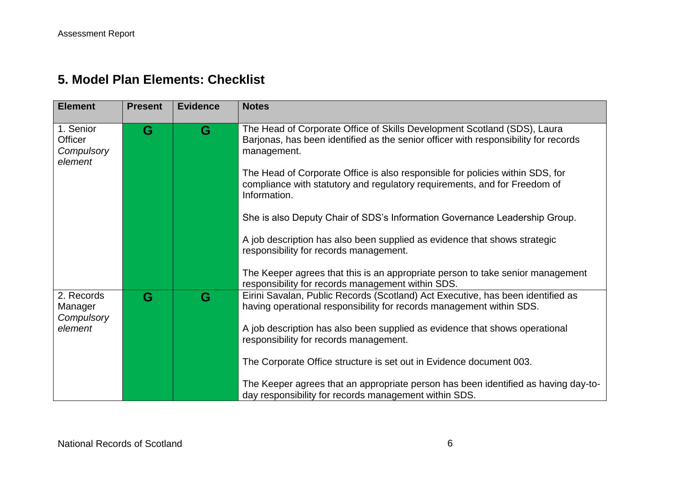# **5. Model Plan Elements: Checklist**

| <b>Element</b>                                | <b>Present</b> | <b>Evidence</b> | <b>Notes</b>                                                                                                                                                                   |
|-----------------------------------------------|----------------|-----------------|--------------------------------------------------------------------------------------------------------------------------------------------------------------------------------|
| 1. Senior<br>Officer<br>Compulsory<br>element | G              | G               | The Head of Corporate Office of Skills Development Scotland (SDS), Laura<br>Barjonas, has been identified as the senior officer with responsibility for records<br>management. |
|                                               |                |                 | The Head of Corporate Office is also responsible for policies within SDS, for<br>compliance with statutory and regulatory requirements, and for Freedom of<br>Information.     |
|                                               |                |                 | She is also Deputy Chair of SDS's Information Governance Leadership Group.                                                                                                     |
|                                               |                |                 | A job description has also been supplied as evidence that shows strategic<br>responsibility for records management.                                                            |
|                                               |                |                 | The Keeper agrees that this is an appropriate person to take senior management<br>responsibility for records management within SDS.                                            |
| 2. Records<br>Manager<br>Compulsory           | G              | G               | Eirini Savalan, Public Records (Scotland) Act Executive, has been identified as<br>having operational responsibility for records management within SDS.                        |
| element                                       |                |                 | A job description has also been supplied as evidence that shows operational<br>responsibility for records management.                                                          |
|                                               |                |                 | The Corporate Office structure is set out in Evidence document 003.                                                                                                            |
|                                               |                |                 | The Keeper agrees that an appropriate person has been identified as having day-to-<br>day responsibility for records management within SDS.                                    |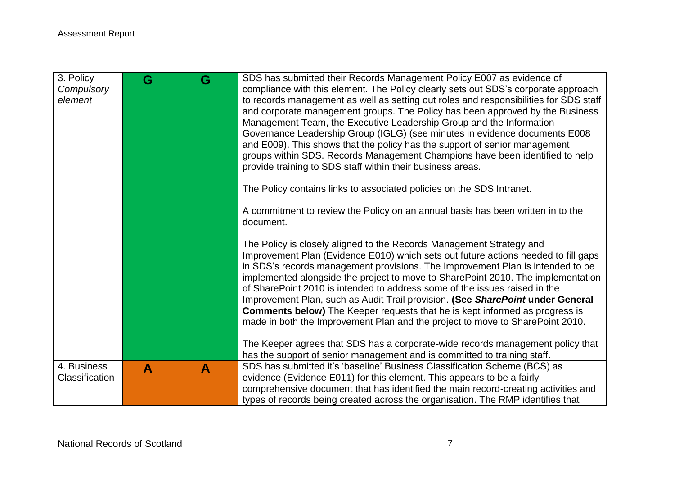| 3. Policy<br>Compulsory<br>element | G | G | SDS has submitted their Records Management Policy E007 as evidence of<br>compliance with this element. The Policy clearly sets out SDS's corporate approach<br>to records management as well as setting out roles and responsibilities for SDS staff<br>and corporate management groups. The Policy has been approved by the Business<br>Management Team, the Executive Leadership Group and the Information<br>Governance Leadership Group (IGLG) (see minutes in evidence documents E008<br>and E009). This shows that the policy has the support of senior management<br>groups within SDS. Records Management Champions have been identified to help<br>provide training to SDS staff within their business areas.<br>The Policy contains links to associated policies on the SDS Intranet.<br>A commitment to review the Policy on an annual basis has been written in to the<br>document. |
|------------------------------------|---|---|-------------------------------------------------------------------------------------------------------------------------------------------------------------------------------------------------------------------------------------------------------------------------------------------------------------------------------------------------------------------------------------------------------------------------------------------------------------------------------------------------------------------------------------------------------------------------------------------------------------------------------------------------------------------------------------------------------------------------------------------------------------------------------------------------------------------------------------------------------------------------------------------------|
|                                    |   |   | The Policy is closely aligned to the Records Management Strategy and<br>Improvement Plan (Evidence E010) which sets out future actions needed to fill gaps<br>in SDS's records management provisions. The Improvement Plan is intended to be<br>implemented alongside the project to move to SharePoint 2010. The implementation<br>of SharePoint 2010 is intended to address some of the issues raised in the<br>Improvement Plan, such as Audit Trail provision. (See SharePoint under General<br><b>Comments below)</b> The Keeper requests that he is kept informed as progress is<br>made in both the Improvement Plan and the project to move to SharePoint 2010.<br>The Keeper agrees that SDS has a corporate-wide records management policy that                                                                                                                                       |
|                                    |   |   | has the support of senior management and is committed to training staff.                                                                                                                                                                                                                                                                                                                                                                                                                                                                                                                                                                                                                                                                                                                                                                                                                        |
| 4. Business<br>Classification      | A | A | SDS has submitted it's 'baseline' Business Classification Scheme (BCS) as<br>evidence (Evidence E011) for this element. This appears to be a fairly                                                                                                                                                                                                                                                                                                                                                                                                                                                                                                                                                                                                                                                                                                                                             |
|                                    |   |   | comprehensive document that has identified the main record-creating activities and                                                                                                                                                                                                                                                                                                                                                                                                                                                                                                                                                                                                                                                                                                                                                                                                              |
|                                    |   |   | types of records being created across the organisation. The RMP identifies that                                                                                                                                                                                                                                                                                                                                                                                                                                                                                                                                                                                                                                                                                                                                                                                                                 |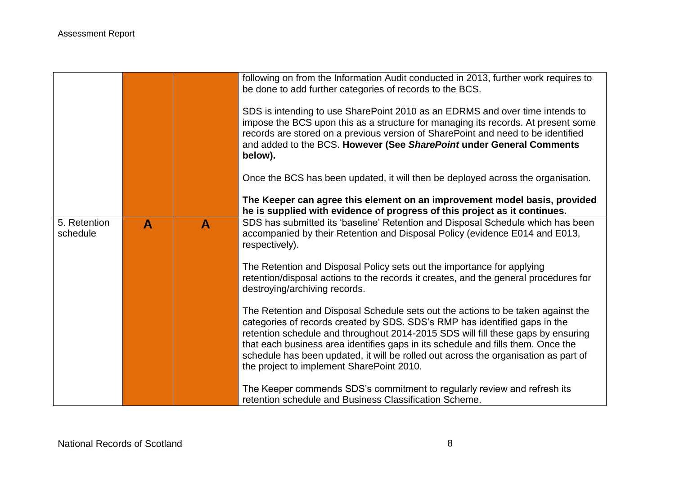|                          |   |   | following on from the Information Audit conducted in 2013, further work requires to<br>be done to add further categories of records to the BCS.                                                                                                                                                                                                                                                                                                                            |
|--------------------------|---|---|----------------------------------------------------------------------------------------------------------------------------------------------------------------------------------------------------------------------------------------------------------------------------------------------------------------------------------------------------------------------------------------------------------------------------------------------------------------------------|
|                          |   |   | SDS is intending to use SharePoint 2010 as an EDRMS and over time intends to<br>impose the BCS upon this as a structure for managing its records. At present some<br>records are stored on a previous version of SharePoint and need to be identified<br>and added to the BCS. However (See SharePoint under General Comments<br>below).                                                                                                                                   |
|                          |   |   | Once the BCS has been updated, it will then be deployed across the organisation.                                                                                                                                                                                                                                                                                                                                                                                           |
|                          |   |   | The Keeper can agree this element on an improvement model basis, provided<br>he is supplied with evidence of progress of this project as it continues.                                                                                                                                                                                                                                                                                                                     |
| 5. Retention<br>schedule | A | A | SDS has submitted its 'baseline' Retention and Disposal Schedule which has been<br>accompanied by their Retention and Disposal Policy (evidence E014 and E013,<br>respectively).                                                                                                                                                                                                                                                                                           |
|                          |   |   | The Retention and Disposal Policy sets out the importance for applying<br>retention/disposal actions to the records it creates, and the general procedures for<br>destroying/archiving records.                                                                                                                                                                                                                                                                            |
|                          |   |   | The Retention and Disposal Schedule sets out the actions to be taken against the<br>categories of records created by SDS. SDS's RMP has identified gaps in the<br>retention schedule and throughout 2014-2015 SDS will fill these gaps by ensuring<br>that each business area identifies gaps in its schedule and fills them. Once the<br>schedule has been updated, it will be rolled out across the organisation as part of<br>the project to implement SharePoint 2010. |
|                          |   |   | The Keeper commends SDS's commitment to regularly review and refresh its<br>retention schedule and Business Classification Scheme.                                                                                                                                                                                                                                                                                                                                         |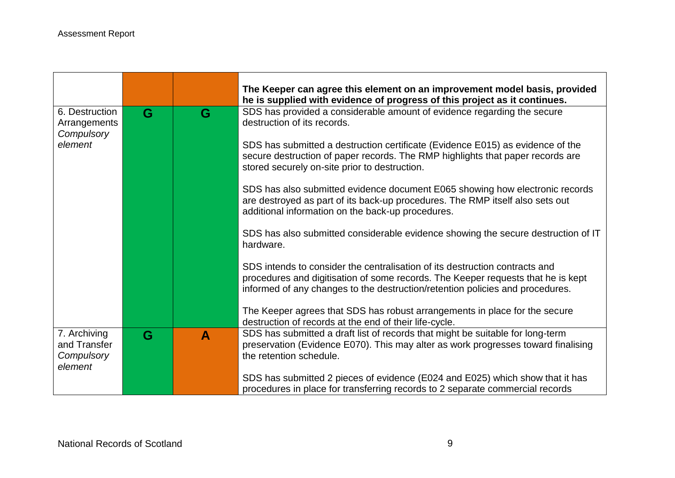|                                                       |   |              | The Keeper can agree this element on an improvement model basis, provided<br>he is supplied with evidence of progress of this project as it continues.                                                                                           |
|-------------------------------------------------------|---|--------------|--------------------------------------------------------------------------------------------------------------------------------------------------------------------------------------------------------------------------------------------------|
| 6. Destruction<br>Arrangements<br>Compulsory          | G | G            | SDS has provided a considerable amount of evidence regarding the secure<br>destruction of its records.                                                                                                                                           |
| element                                               |   |              | SDS has submitted a destruction certificate (Evidence E015) as evidence of the<br>secure destruction of paper records. The RMP highlights that paper records are<br>stored securely on-site prior to destruction.                                |
|                                                       |   |              | SDS has also submitted evidence document E065 showing how electronic records<br>are destroyed as part of its back-up procedures. The RMP itself also sets out<br>additional information on the back-up procedures.                               |
|                                                       |   |              | SDS has also submitted considerable evidence showing the secure destruction of IT<br>hardware.                                                                                                                                                   |
|                                                       |   |              | SDS intends to consider the centralisation of its destruction contracts and<br>procedures and digitisation of some records. The Keeper requests that he is kept<br>informed of any changes to the destruction/retention policies and procedures. |
|                                                       |   |              | The Keeper agrees that SDS has robust arrangements in place for the secure<br>destruction of records at the end of their life-cycle.                                                                                                             |
| 7. Archiving<br>and Transfer<br>Compulsory<br>element | G | $\mathbf{A}$ | SDS has submitted a draft list of records that might be suitable for long-term<br>preservation (Evidence E070). This may alter as work progresses toward finalising<br>the retention schedule.                                                   |
|                                                       |   |              | SDS has submitted 2 pieces of evidence (E024 and E025) which show that it has<br>procedures in place for transferring records to 2 separate commercial records                                                                                   |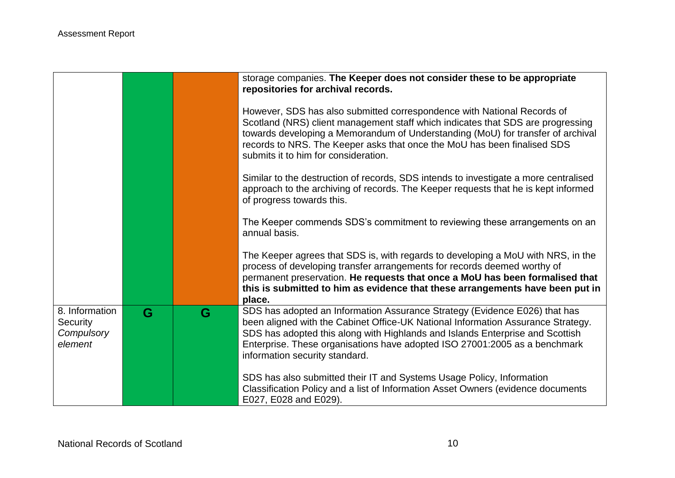|                                                     |   |   | storage companies. The Keeper does not consider these to be appropriate<br>repositories for archival records.                                                                                                                                                                                                                                                     |
|-----------------------------------------------------|---|---|-------------------------------------------------------------------------------------------------------------------------------------------------------------------------------------------------------------------------------------------------------------------------------------------------------------------------------------------------------------------|
|                                                     |   |   | However, SDS has also submitted correspondence with National Records of<br>Scotland (NRS) client management staff which indicates that SDS are progressing<br>towards developing a Memorandum of Understanding (MoU) for transfer of archival<br>records to NRS. The Keeper asks that once the MoU has been finalised SDS<br>submits it to him for consideration. |
|                                                     |   |   | Similar to the destruction of records, SDS intends to investigate a more centralised<br>approach to the archiving of records. The Keeper requests that he is kept informed<br>of progress towards this.                                                                                                                                                           |
|                                                     |   |   | The Keeper commends SDS's commitment to reviewing these arrangements on an<br>annual basis.                                                                                                                                                                                                                                                                       |
|                                                     |   |   | The Keeper agrees that SDS is, with regards to developing a MoU with NRS, in the<br>process of developing transfer arrangements for records deemed worthy of<br>permanent preservation. He requests that once a MoU has been formalised that<br>this is submitted to him as evidence that these arrangements have been put in<br>place.                           |
| 8. Information<br>Security<br>Compulsory<br>element | G | G | SDS has adopted an Information Assurance Strategy (Evidence E026) that has<br>been aligned with the Cabinet Office-UK National Information Assurance Strategy.<br>SDS has adopted this along with Highlands and Islands Enterprise and Scottish<br>Enterprise. These organisations have adopted ISO 27001:2005 as a benchmark<br>information security standard.   |
|                                                     |   |   | SDS has also submitted their IT and Systems Usage Policy, Information<br>Classification Policy and a list of Information Asset Owners (evidence documents<br>E027, E028 and E029).                                                                                                                                                                                |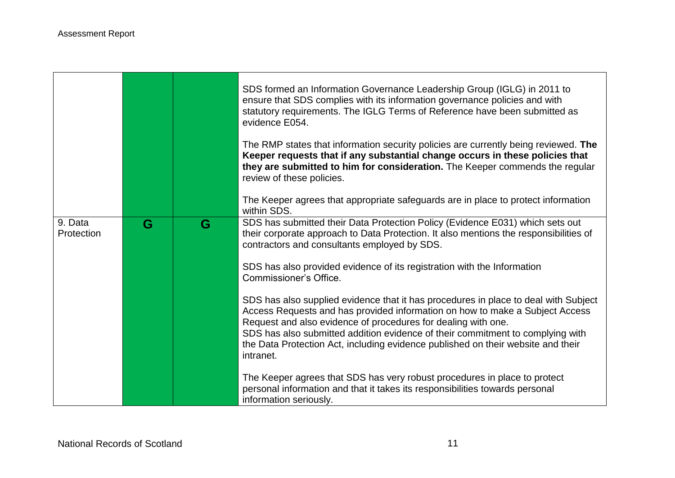|                       |   |   | SDS formed an Information Governance Leadership Group (IGLG) in 2011 to<br>ensure that SDS complies with its information governance policies and with<br>statutory requirements. The IGLG Terms of Reference have been submitted as<br>evidence E054.                                                                                                                                                                   |
|-----------------------|---|---|-------------------------------------------------------------------------------------------------------------------------------------------------------------------------------------------------------------------------------------------------------------------------------------------------------------------------------------------------------------------------------------------------------------------------|
|                       |   |   | The RMP states that information security policies are currently being reviewed. The<br>Keeper requests that if any substantial change occurs in these policies that<br>they are submitted to him for consideration. The Keeper commends the regular<br>review of these policies.                                                                                                                                        |
|                       |   |   | The Keeper agrees that appropriate safeguards are in place to protect information<br>within SDS.                                                                                                                                                                                                                                                                                                                        |
| 9. Data<br>Protection | G | G | SDS has submitted their Data Protection Policy (Evidence E031) which sets out<br>their corporate approach to Data Protection. It also mentions the responsibilities of<br>contractors and consultants employed by SDS.                                                                                                                                                                                                  |
|                       |   |   | SDS has also provided evidence of its registration with the Information<br>Commissioner's Office.                                                                                                                                                                                                                                                                                                                       |
|                       |   |   | SDS has also supplied evidence that it has procedures in place to deal with Subject<br>Access Requests and has provided information on how to make a Subject Access<br>Request and also evidence of procedures for dealing with one.<br>SDS has also submitted addition evidence of their commitment to complying with<br>the Data Protection Act, including evidence published on their website and their<br>intranet. |
|                       |   |   | The Keeper agrees that SDS has very robust procedures in place to protect<br>personal information and that it takes its responsibilities towards personal<br>information seriously.                                                                                                                                                                                                                                     |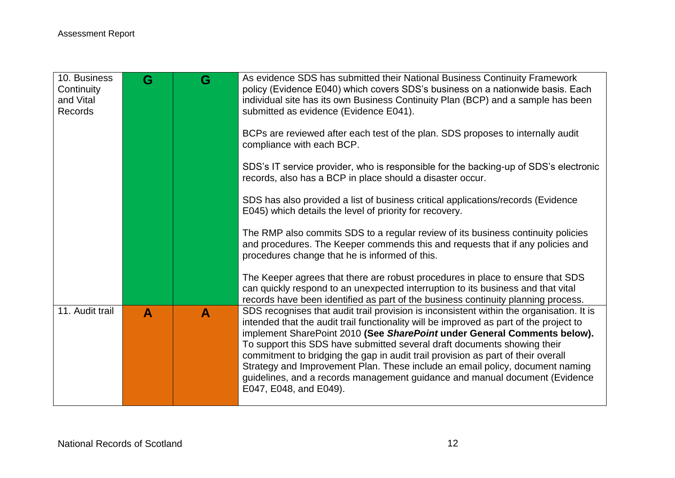| 10. Business<br>Continuity<br>and Vital<br>Records | G | G | As evidence SDS has submitted their National Business Continuity Framework<br>policy (Evidence E040) which covers SDS's business on a nationwide basis. Each<br>individual site has its own Business Continuity Plan (BCP) and a sample has been<br>submitted as evidence (Evidence E041).                                                                                                                                                                                                                                                                                                                               |
|----------------------------------------------------|---|---|--------------------------------------------------------------------------------------------------------------------------------------------------------------------------------------------------------------------------------------------------------------------------------------------------------------------------------------------------------------------------------------------------------------------------------------------------------------------------------------------------------------------------------------------------------------------------------------------------------------------------|
|                                                    |   |   | BCPs are reviewed after each test of the plan. SDS proposes to internally audit<br>compliance with each BCP.                                                                                                                                                                                                                                                                                                                                                                                                                                                                                                             |
|                                                    |   |   | SDS's IT service provider, who is responsible for the backing-up of SDS's electronic<br>records, also has a BCP in place should a disaster occur.                                                                                                                                                                                                                                                                                                                                                                                                                                                                        |
|                                                    |   |   | SDS has also provided a list of business critical applications/records (Evidence<br>E045) which details the level of priority for recovery.                                                                                                                                                                                                                                                                                                                                                                                                                                                                              |
|                                                    |   |   | The RMP also commits SDS to a regular review of its business continuity policies<br>and procedures. The Keeper commends this and requests that if any policies and<br>procedures change that he is informed of this.                                                                                                                                                                                                                                                                                                                                                                                                     |
|                                                    |   |   | The Keeper agrees that there are robust procedures in place to ensure that SDS<br>can quickly respond to an unexpected interruption to its business and that vital<br>records have been identified as part of the business continuity planning process.                                                                                                                                                                                                                                                                                                                                                                  |
| 11. Audit trail                                    | A | A | SDS recognises that audit trail provision is inconsistent within the organisation. It is<br>intended that the audit trail functionality will be improved as part of the project to<br>implement SharePoint 2010 (See SharePoint under General Comments below).<br>To support this SDS have submitted several draft documents showing their<br>commitment to bridging the gap in audit trail provision as part of their overall<br>Strategy and Improvement Plan. These include an email policy, document naming<br>guidelines, and a records management guidance and manual document (Evidence<br>E047, E048, and E049). |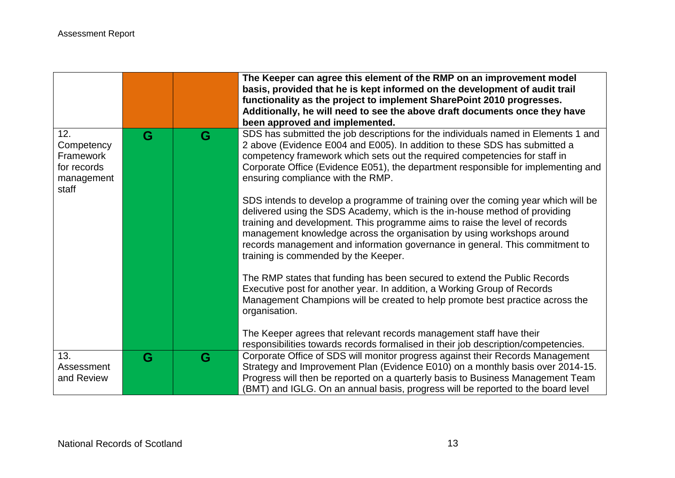|                                                                      |   |   | The Keeper can agree this element of the RMP on an improvement model<br>basis, provided that he is kept informed on the development of audit trail<br>functionality as the project to implement SharePoint 2010 progresses.<br>Additionally, he will need to see the above draft documents once they have                                                                                                                                                                                                                                                                                                                                                                                                                                                                                                                    |
|----------------------------------------------------------------------|---|---|------------------------------------------------------------------------------------------------------------------------------------------------------------------------------------------------------------------------------------------------------------------------------------------------------------------------------------------------------------------------------------------------------------------------------------------------------------------------------------------------------------------------------------------------------------------------------------------------------------------------------------------------------------------------------------------------------------------------------------------------------------------------------------------------------------------------------|
|                                                                      |   |   | been approved and implemented.                                                                                                                                                                                                                                                                                                                                                                                                                                                                                                                                                                                                                                                                                                                                                                                               |
| 12.<br>Competency<br>Framework<br>for records<br>management<br>staff | G | G | SDS has submitted the job descriptions for the individuals named in Elements 1 and<br>2 above (Evidence E004 and E005). In addition to these SDS has submitted a<br>competency framework which sets out the required competencies for staff in<br>Corporate Office (Evidence E051), the department responsible for implementing and<br>ensuring compliance with the RMP.<br>SDS intends to develop a programme of training over the coming year which will be<br>delivered using the SDS Academy, which is the in-house method of providing<br>training and development. This programme aims to raise the level of records<br>management knowledge across the organisation by using workshops around<br>records management and information governance in general. This commitment to<br>training is commended by the Keeper. |
|                                                                      |   |   | The RMP states that funding has been secured to extend the Public Records<br>Executive post for another year. In addition, a Working Group of Records<br>Management Champions will be created to help promote best practice across the<br>organisation.<br>The Keeper agrees that relevant records management staff have their<br>responsibilities towards records formalised in their job description/competencies.                                                                                                                                                                                                                                                                                                                                                                                                         |
| 13.<br>Assessment<br>and Review                                      | G | G | Corporate Office of SDS will monitor progress against their Records Management<br>Strategy and Improvement Plan (Evidence E010) on a monthly basis over 2014-15.<br>Progress will then be reported on a quarterly basis to Business Management Team<br>(BMT) and IGLG. On an annual basis, progress will be reported to the board level                                                                                                                                                                                                                                                                                                                                                                                                                                                                                      |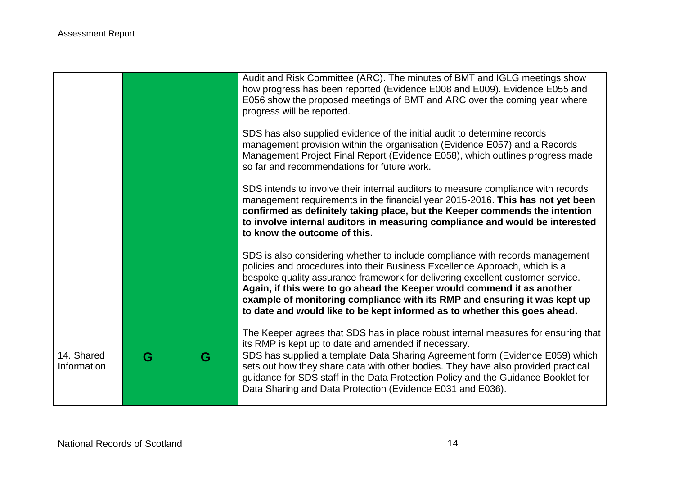|                           |   |   | Audit and Risk Committee (ARC). The minutes of BMT and IGLG meetings show<br>how progress has been reported (Evidence E008 and E009). Evidence E055 and<br>E056 show the proposed meetings of BMT and ARC over the coming year where<br>progress will be reported.                                                                                                                                                                                                                 |
|---------------------------|---|---|------------------------------------------------------------------------------------------------------------------------------------------------------------------------------------------------------------------------------------------------------------------------------------------------------------------------------------------------------------------------------------------------------------------------------------------------------------------------------------|
|                           |   |   | SDS has also supplied evidence of the initial audit to determine records<br>management provision within the organisation (Evidence E057) and a Records<br>Management Project Final Report (Evidence E058), which outlines progress made<br>so far and recommendations for future work.                                                                                                                                                                                             |
|                           |   |   | SDS intends to involve their internal auditors to measure compliance with records<br>management requirements in the financial year 2015-2016. This has not yet been<br>confirmed as definitely taking place, but the Keeper commends the intention<br>to involve internal auditors in measuring compliance and would be interested<br>to know the outcome of this.                                                                                                                 |
|                           |   |   | SDS is also considering whether to include compliance with records management<br>policies and procedures into their Business Excellence Approach, which is a<br>bespoke quality assurance framework for delivering excellent customer service.<br>Again, if this were to go ahead the Keeper would commend it as another<br>example of monitoring compliance with its RMP and ensuring it was kept up<br>to date and would like to be kept informed as to whether this goes ahead. |
|                           |   |   | The Keeper agrees that SDS has in place robust internal measures for ensuring that<br>its RMP is kept up to date and amended if necessary.                                                                                                                                                                                                                                                                                                                                         |
| 14. Shared<br>Information | G | G | SDS has supplied a template Data Sharing Agreement form (Evidence E059) which<br>sets out how they share data with other bodies. They have also provided practical<br>guidance for SDS staff in the Data Protection Policy and the Guidance Booklet for<br>Data Sharing and Data Protection (Evidence E031 and E036).                                                                                                                                                              |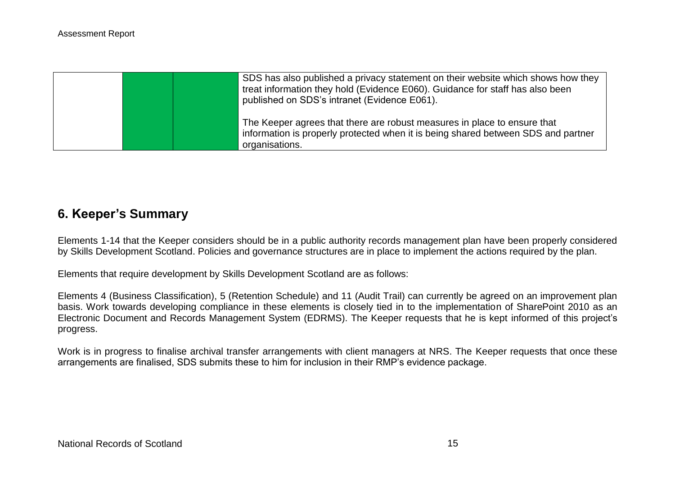|  | SDS has also published a privacy statement on their website which shows how they<br>treat information they hold (Evidence E060). Guidance for staff has also been<br>published on SDS's intranet (Evidence E061). |
|--|-------------------------------------------------------------------------------------------------------------------------------------------------------------------------------------------------------------------|
|  | The Keeper agrees that there are robust measures in place to ensure that<br>information is properly protected when it is being shared between SDS and partner<br>organisations.                                   |

## **6. Keeper's Summary**

Elements 1-14 that the Keeper considers should be in a public authority records management plan have been properly considered by Skills Development Scotland. Policies and governance structures are in place to implement the actions required by the plan.

Elements that require development by Skills Development Scotland are as follows:

Elements 4 (Business Classification), 5 (Retention Schedule) and 11 (Audit Trail) can currently be agreed on an improvement plan basis. Work towards developing compliance in these elements is closely tied in to the implementation of SharePoint 2010 as an Electronic Document and Records Management System (EDRMS). The Keeper requests that he is kept informed of this project's progress.

Work is in progress to finalise archival transfer arrangements with client managers at NRS. The Keeper requests that once these arrangements are finalised, SDS submits these to him for inclusion in their RMP's evidence package.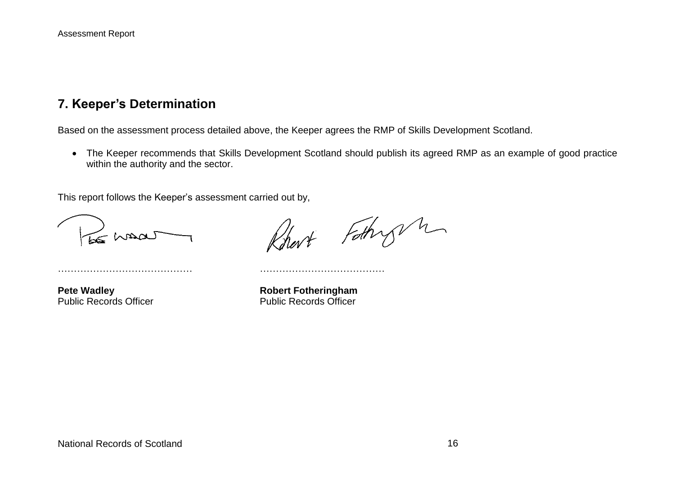## **7. Keeper's Determination**

Based on the assessment process detailed above, the Keeper agrees the RMP of Skills Development Scotland.

 The Keeper recommends that Skills Development Scotland should publish its agreed RMP as an example of good practice within the authority and the sector.

This report follows the Keeper's assessment carried out by,

…………………………………… …………………………………

LE MADA

Rhart Fathry n

**Pete Wadley**<br> **Public Records Officer**<br> **Robert Fotheringham**<br> **Public Records Officer** Public Records Officer